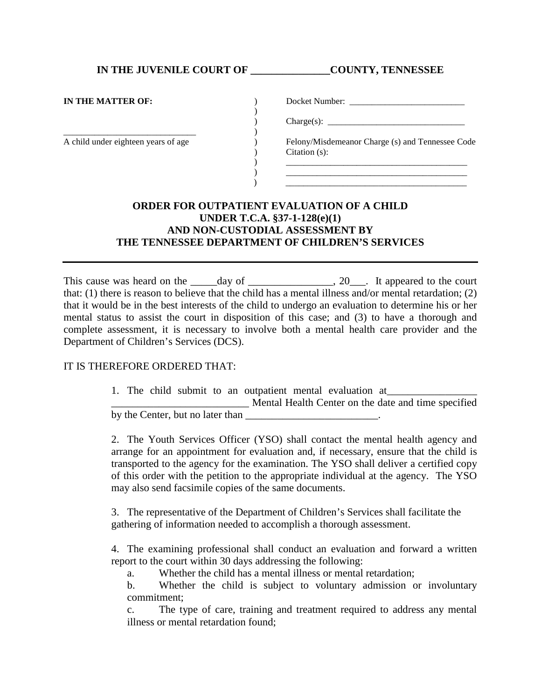**IN THE JUVENILE COURT OF \_\_\_\_\_\_\_\_\_\_\_\_\_\_\_COUNTY, TENNESSEE**

| IN THE MATTER OF:                   | Docket Number:                                   |
|-------------------------------------|--------------------------------------------------|
|                                     |                                                  |
|                                     | $\text{Change}(s):$                              |
|                                     |                                                  |
| A child under eighteen years of age | Felony/Misdemeanor Charge (s) and Tennessee Code |
|                                     | Citation $(s)$ :                                 |
|                                     |                                                  |
|                                     |                                                  |
|                                     |                                                  |

## **ORDER FOR OUTPATIENT EVALUATION OF A CHILD UNDER T.C.A. §37-1-128(e)(1) AND NON-CUSTODIAL ASSESSMENT BY THE TENNESSEE DEPARTMENT OF CHILDREN'S SERVICES**

This cause was heard on the \_\_\_\_\_day of \_\_\_\_\_\_\_\_\_\_\_\_\_, 20\_\_\_. It appeared to the court that: (1) there is reason to believe that the child has a mental illness and/or mental retardation; (2) that it would be in the best interests of the child to undergo an evaluation to determine his or her mental status to assist the court in disposition of this case; and (3) to have a thorough and complete assessment, it is necessary to involve both a mental health care provider and the Department of Children's Services (DCS).

## IT IS THEREFORE ORDERED THAT:

1. The child submit to an outpatient mental evaluation at \_\_\_\_\_\_\_\_\_\_\_\_\_\_\_\_\_\_\_\_\_\_\_\_\_\_ Mental Health Center on the date and time specified by the Center, but no later than

2. The Youth Services Officer (YSO) shall contact the mental health agency and arrange for an appointment for evaluation and, if necessary, ensure that the child is transported to the agency for the examination. The YSO shall deliver a certified copy of this order with the petition to the appropriate individual at the agency. The YSO may also send facsimile copies of the same documents.

3. The representative of the Department of Children's Services shall facilitate the gathering of information needed to accomplish a thorough assessment.

4. The examining professional shall conduct an evaluation and forward a written report to the court within 30 days addressing the following:

a. Whether the child has a mental illness or mental retardation;

b. Whether the child is subject to voluntary admission or involuntary commitment;

c. The type of care, training and treatment required to address any mental illness or mental retardation found;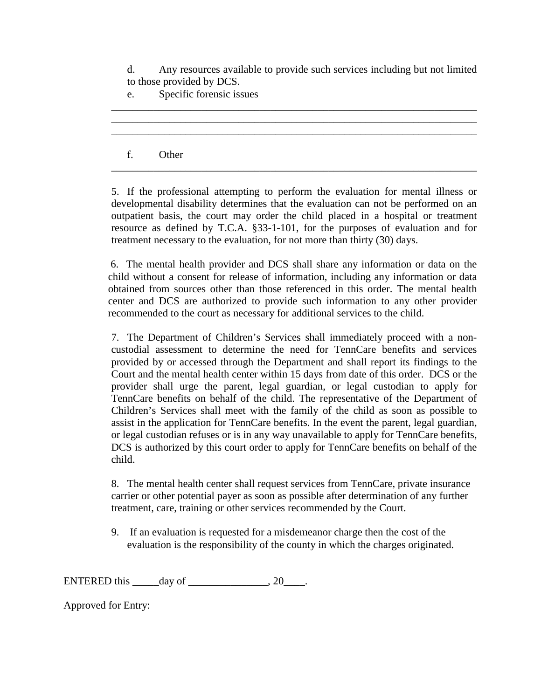d. Any resources available to provide such services including but not limited to those provided by DCS.

\_\_\_\_\_\_\_\_\_\_\_\_\_\_\_\_\_\_\_\_\_\_\_\_\_\_\_\_\_\_\_\_\_\_\_\_\_\_\_\_\_\_\_\_\_\_\_\_\_\_\_\_\_\_\_\_\_\_\_\_\_\_\_\_\_\_\_\_\_ \_\_\_\_\_\_\_\_\_\_\_\_\_\_\_\_\_\_\_\_\_\_\_\_\_\_\_\_\_\_\_\_\_\_\_\_\_\_\_\_\_\_\_\_\_\_\_\_\_\_\_\_\_\_\_\_\_\_\_\_\_\_\_\_\_\_\_\_\_ \_\_\_\_\_\_\_\_\_\_\_\_\_\_\_\_\_\_\_\_\_\_\_\_\_\_\_\_\_\_\_\_\_\_\_\_\_\_\_\_\_\_\_\_\_\_\_\_\_\_\_\_\_\_\_\_\_\_\_\_\_\_\_\_\_\_\_\_\_

e. Specific forensic issues

## f. Other

5. If the professional attempting to perform the evaluation for mental illness or developmental disability determines that the evaluation can not be performed on an outpatient basis, the court may order the child placed in a hospital or treatment resource as defined by T.C.A. §33-1-101, for the purposes of evaluation and for treatment necessary to the evaluation, for not more than thirty (30) days.

\_\_\_\_\_\_\_\_\_\_\_\_\_\_\_\_\_\_\_\_\_\_\_\_\_\_\_\_\_\_\_\_\_\_\_\_\_\_\_\_\_\_\_\_\_\_\_\_\_\_\_\_\_\_\_\_\_\_\_\_\_\_\_\_\_\_\_\_\_

6. The mental health provider and DCS shall share any information or data on the child without a consent for release of information, including any information or data obtained from sources other than those referenced in this order. The mental health center and DCS are authorized to provide such information to any other provider recommended to the court as necessary for additional services to the child.

7. The Department of Children's Services shall immediately proceed with a noncustodial assessment to determine the need for TennCare benefits and services provided by or accessed through the Department and shall report its findings to the Court and the mental health center within 15 days from date of this order. DCS or the provider shall urge the parent, legal guardian, or legal custodian to apply for TennCare benefits on behalf of the child. The representative of the Department of Children's Services shall meet with the family of the child as soon as possible to assist in the application for TennCare benefits. In the event the parent, legal guardian, or legal custodian refuses or is in any way unavailable to apply for TennCare benefits, DCS is authorized by this court order to apply for TennCare benefits on behalf of the child.

8. The mental health center shall request services from TennCare, private insurance carrier or other potential payer as soon as possible after determination of any further treatment, care, training or other services recommended by the Court.

9. If an evaluation is requested for a misdemeanor charge then the cost of the evaluation is the responsibility of the county in which the charges originated.

ENTERED this  $\rule{1em}{0.15mm}$  day of  $\rule{1em}{0.15mm}$   $\qquad$   $\qquad$   $\qquad$   $\qquad$   $\qquad$   $\qquad$   $\qquad$   $\qquad$   $\qquad$   $\qquad$   $\qquad$   $\qquad$   $\qquad$   $\qquad$   $\qquad$   $\qquad$   $\qquad$   $\qquad$   $\qquad$   $\qquad$   $\qquad$   $\qquad$   $\qquad$   $\qquad$   $\qquad$   $\qquad$   $\qquad$   $\qquad$   $\q$ 

Approved for Entry: